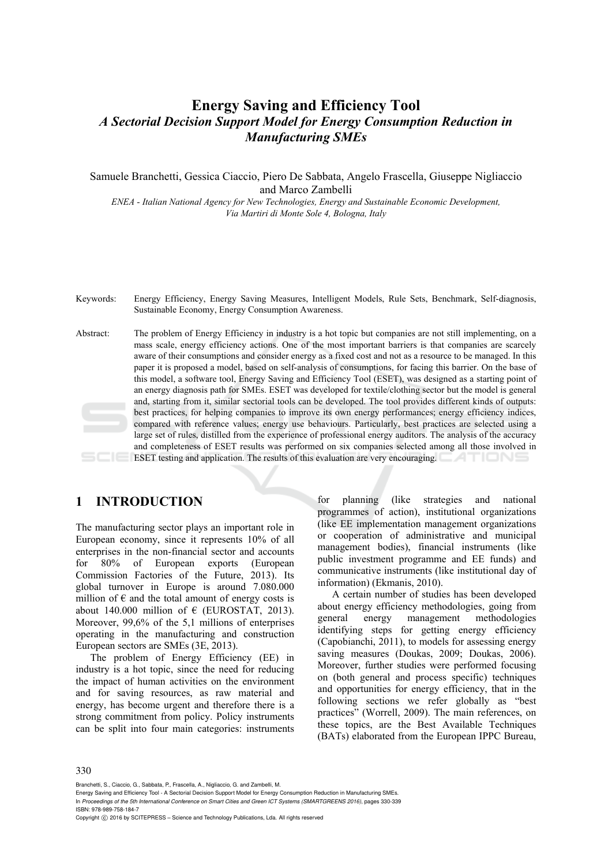# **Energy Saving and Efficiency Tool**  *A Sectorial Decision Support Model for Energy Consumption Reduction in Manufacturing SMEs*

Samuele Branchetti, Gessica Ciaccio, Piero De Sabbata, Angelo Frascella, Giuseppe Nigliaccio and Marco Zambelli

*ENEA - Italian National Agency for New Technologies, Energy and Sustainable Economic Development, Via Martiri di Monte Sole 4, Bologna, Italy* 

- Keywords: Energy Efficiency, Energy Saving Measures, Intelligent Models, Rule Sets, Benchmark, Self-diagnosis, Sustainable Economy, Energy Consumption Awareness.
- Abstract: The problem of Energy Efficiency in industry is a hot topic but companies are not still implementing, on a mass scale, energy efficiency actions. One of the most important barriers is that companies are scarcely aware of their consumptions and consider energy as a fixed cost and not as a resource to be managed. In this paper it is proposed a model, based on self-analysis of consumptions, for facing this barrier. On the base of this model, a software tool, Energy Saving and Efficiency Tool (ESET), was designed as a starting point of an energy diagnosis path for SMEs. ESET was developed for textile/clothing sector but the model is general and, starting from it, similar sectorial tools can be developed. The tool provides different kinds of outputs: best practices, for helping companies to improve its own energy performances; energy efficiency indices, compared with reference values; energy use behaviours. Particularly, best practices are selected using a large set of rules, distilled from the experience of professional energy auditors. The analysis of the accuracy and completeness of ESET results was performed on six companies selected among all those involved in ESET testing and application. The results of this evaluation are very encouraging. ATIONS

# **1 INTRODUCTION**

The manufacturing sector plays an important role in European economy, since it represents 10% of all enterprises in the non-financial sector and accounts for 80% of European exports (European Commission Factories of the Future, 2013). Its global turnover in Europe is around 7.080.000 million of  $\epsilon$  and the total amount of energy costs is about 140.000 million of  $\epsilon$  (EUROSTAT, 2013). Moreover, 99,6% of the 5,1 millions of enterprises operating in the manufacturing and construction European sectors are SMEs (3E, 2013).

The problem of Energy Efficiency (EE) in industry is a hot topic, since the need for reducing the impact of human activities on the environment and for saving resources, as raw material and energy, has become urgent and therefore there is a strong commitment from policy. Policy instruments can be split into four main categories: instruments

for planning (like strategies and national programmes of action), institutional organizations (like EE implementation management organizations or cooperation of administrative and municipal management bodies), financial instruments (like public investment programme and EE funds) and communicative instruments (like institutional day of information) (Ekmanis, 2010).

A certain number of studies has been developed about energy efficiency methodologies, going from general energy management methodologies identifying steps for getting energy efficiency (Capobianchi, 2011), to models for assessing energy saving measures (Doukas, 2009; Doukas, 2006). Moreover, further studies were performed focusing on (both general and process specific) techniques and opportunities for energy efficiency, that in the following sections we refer globally as "best practices" (Worrell, 2009). The main references, on these topics, are the Best Available Techniques (BATs) elaborated from the European IPPC Bureau,

Branchetti, S., Ciaccio, G., Sabbata, P., Frascella, A., Nigliaccio, G. and Zambelli, M.

Energy Saving and Efficiency Tool - A Sectorial Decision Support Model for Energy Consumption Reduction in Manufacturing SMEs. In *Proceedings of the 5th International Conference on Smart Cities and Green ICT Systems (SMARTGREENS 2016)*, pages 330-339 ISBN: 978-989-758-184-7

Copyright C 2016 by SCITEPRESS – Science and Technology Publications, Lda. All rights reserved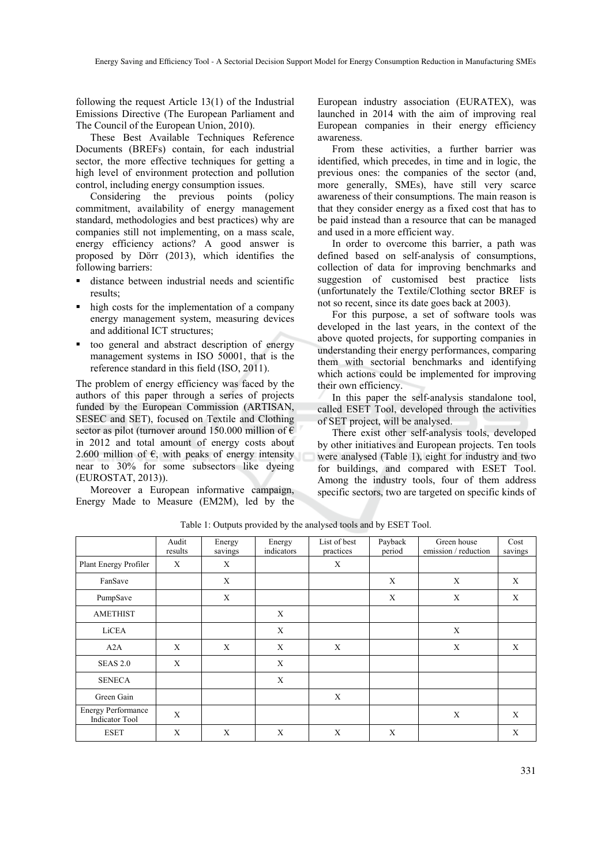following the request Article 13(1) of the Industrial Emissions Directive (The European Parliament and The Council of the European Union, 2010).

These Best Available Techniques Reference Documents (BREFs) contain, for each industrial sector, the more effective techniques for getting a high level of environment protection and pollution control, including energy consumption issues.

Considering the previous points (policy commitment, availability of energy management standard, methodologies and best practices) why are companies still not implementing, on a mass scale, energy efficiency actions? A good answer is proposed by Dörr (2013), which identifies the following barriers:

- distance between industrial needs and scientific results;
- high costs for the implementation of a company energy management system, measuring devices and additional ICT structures;
- too general and abstract description of energy management systems in ISO 50001, that is the reference standard in this field (ISO, 2011).

The problem of energy efficiency was faced by the authors of this paper through a series of projects funded by the European Commission (ARTISAN, SESEC and SET), focused on Textile and Clothing sector as pilot (turnover around 150.000 million of  $\epsilon$ in 2012 and total amount of energy costs about 2.600 million of  $\epsilon$ , with peaks of energy intensity near to 30% for some subsectors like dyeing (EUROSTAT, 2013)).

Moreover a European informative campaign, Energy Made to Measure (EM2M), led by the

European industry association (EURATEX), was launched in 2014 with the aim of improving real European companies in their energy efficiency awareness.

From these activities, a further barrier was identified, which precedes, in time and in logic, the previous ones: the companies of the sector (and, more generally, SMEs), have still very scarce awareness of their consumptions. The main reason is that they consider energy as a fixed cost that has to be paid instead than a resource that can be managed and used in a more efficient way.

In order to overcome this barrier, a path was defined based on self-analysis of consumptions, collection of data for improving benchmarks and suggestion of customised best practice lists (unfortunately the Textile/Clothing sector BREF is not so recent, since its date goes back at 2003).

For this purpose, a set of software tools was developed in the last years, in the context of the above quoted projects, for supporting companies in understanding their energy performances, comparing them with sectorial benchmarks and identifying which actions could be implemented for improving their own efficiency.

In this paper the self-analysis standalone tool, called ESET Tool, developed through the activities of SET project, will be analysed.

There exist other self-analysis tools, developed by other initiatives and European projects. Ten tools were analysed (Table 1), eight for industry and two for buildings, and compared with ESET Tool. Among the industry tools, four of them address specific sectors, two are targeted on specific kinds of

|                                                    | Audit<br>results | Energy       | Energy<br>indicators | List of best<br>practices | Payback<br>period | Green house<br>emission / reduction | Cost    |
|----------------------------------------------------|------------------|--------------|----------------------|---------------------------|-------------------|-------------------------------------|---------|
| Plant Energy Profiler                              | X                | savings<br>X |                      | X                         |                   |                                     | savings |
| FanSave                                            |                  | X            |                      |                           | X                 | X                                   | X       |
| PumpSave                                           |                  | X            |                      |                           | X                 | X                                   | X       |
| <b>AMETHIST</b>                                    |                  |              | X                    |                           |                   |                                     |         |
| LiCEA                                              |                  |              | X                    |                           |                   | X                                   |         |
| A2A                                                | X                | X            | X                    | X                         |                   | X                                   | X       |
| <b>SEAS 2.0</b>                                    | X                |              | X                    |                           |                   |                                     |         |
| <b>SENECA</b>                                      |                  |              | X                    |                           |                   |                                     |         |
| Green Gain                                         |                  |              |                      | $\mathbf X$               |                   |                                     |         |
| <b>Energy Performance</b><br><b>Indicator Tool</b> | X                |              |                      |                           |                   | X                                   | X       |
| <b>ESET</b>                                        | X                | X            | X                    | X                         | X                 |                                     | X       |

Table 1: Outputs provided by the analysed tools and by ESET Tool.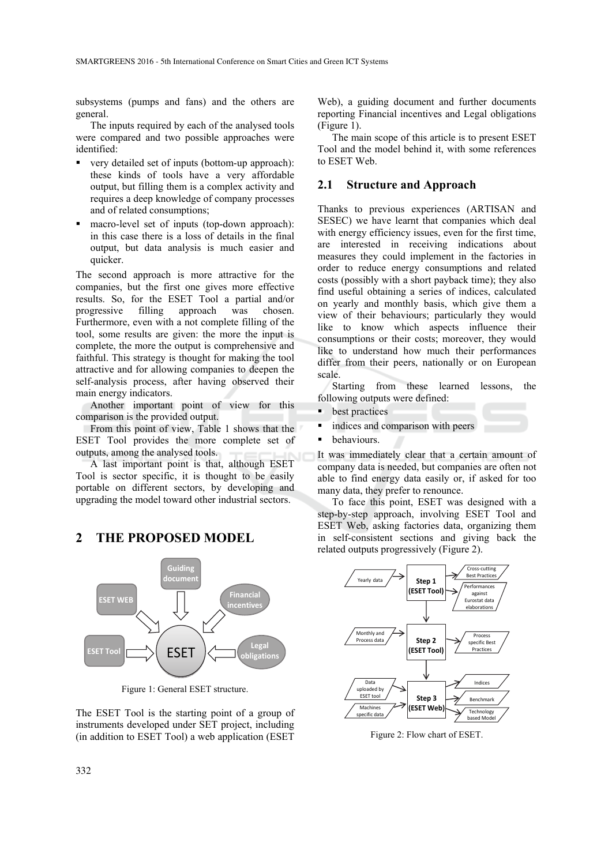subsystems (pumps and fans) and the others are general.

The inputs required by each of the analysed tools were compared and two possible approaches were identified:

- very detailed set of inputs (bottom-up approach): these kinds of tools have a very affordable output, but filling them is a complex activity and requires a deep knowledge of company processes and of related consumptions;
- macro-level set of inputs (top-down approach): in this case there is a loss of details in the final output, but data analysis is much easier and quicker.

The second approach is more attractive for the companies, but the first one gives more effective results. So, for the ESET Tool a partial and/or progressive filling approach was chosen. Furthermore, even with a not complete filling of the tool, some results are given: the more the input is complete, the more the output is comprehensive and faithful. This strategy is thought for making the tool attractive and for allowing companies to deepen the self-analysis process, after having observed their main energy indicators.

Another important point of view for this comparison is the provided output.

From this point of view, Table 1 shows that the ESET Tool provides the more complete set of outputs, among the analysed tools.

A last important point is that, although ESET Tool is sector specific, it is thought to be easily portable on different sectors, by developing and upgrading the model toward other industrial sectors.

# **2 THE PROPOSED MODEL**



Figure 1: General ESET structure.

The ESET Tool is the starting point of a group of instruments developed under SET project, including (in addition to ESET Tool) a web application (ESET

Web), a guiding document and further documents reporting Financial incentives and Legal obligations (Figure 1).

The main scope of this article is to present ESET Tool and the model behind it, with some references to ESET Web.

#### **2.1 Structure and Approach**

Thanks to previous experiences (ARTISAN and SESEC) we have learnt that companies which deal with energy efficiency issues, even for the first time. are interested in receiving indications about measures they could implement in the factories in order to reduce energy consumptions and related costs (possibly with a short payback time); they also find useful obtaining a series of indices, calculated on yearly and monthly basis, which give them a view of their behaviours; particularly they would like to know which aspects influence their consumptions or their costs; moreover, they would like to understand how much their performances differ from their peers, nationally or on European scale.

Starting from these learned lessons, the following outputs were defined:

- **best practices**
- indices and comparison with peers
- behaviours.

It was immediately clear that a certain amount of company data is needed, but companies are often not able to find energy data easily or, if asked for too many data, they prefer to renounce.

To face this point, ESET was designed with a step-by-step approach, involving ESET Tool and ESET Web, asking factories data, organizing them in self-consistent sections and giving back the related outputs progressively (Figure 2).



Figure 2: Flow chart of ESET.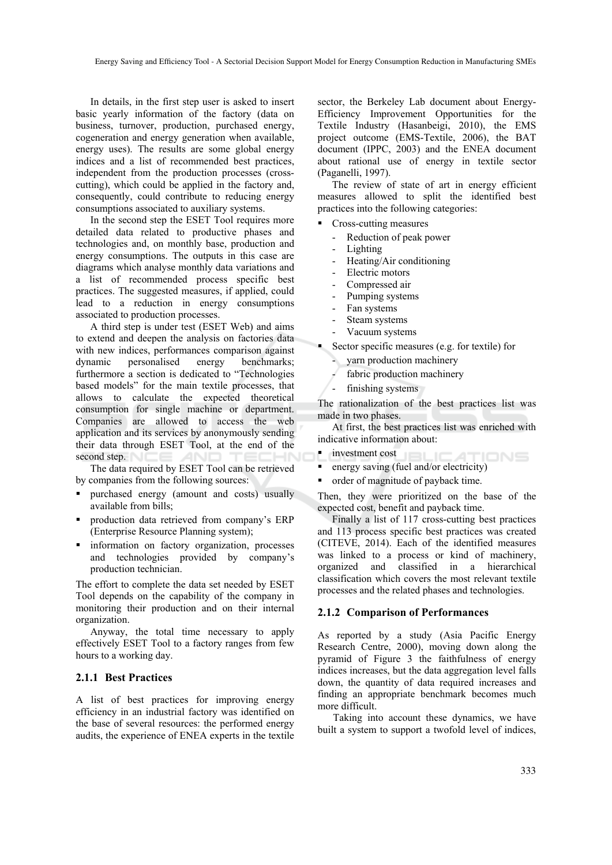In details, in the first step user is asked to insert basic yearly information of the factory (data on business, turnover, production, purchased energy, cogeneration and energy generation when available, energy uses). The results are some global energy indices and a list of recommended best practices, independent from the production processes (crosscutting), which could be applied in the factory and, consequently, could contribute to reducing energy consumptions associated to auxiliary systems.

In the second step the ESET Tool requires more detailed data related to productive phases and technologies and, on monthly base, production and energy consumptions. The outputs in this case are diagrams which analyse monthly data variations and a list of recommended process specific best practices. The suggested measures, if applied, could lead to a reduction in energy consumptions associated to production processes.

A third step is under test (ESET Web) and aims to extend and deepen the analysis on factories data with new indices, performances comparison against dynamic personalised energy benchmarks; furthermore a section is dedicated to "Technologies based models" for the main textile processes, that allows to calculate the expected theoretical consumption for single machine or department. Companies are allowed to access the web application and its services by anonymously sending their data through ESET Tool, at the end of the second step.

The data required by ESET Tool can be retrieved by companies from the following sources:

- purchased energy (amount and costs) usually available from bills;
- production data retrieved from company's ERP (Enterprise Resource Planning system);
- **information** on factory organization, processes and technologies provided by company's production technician.

The effort to complete the data set needed by ESET Tool depends on the capability of the company in monitoring their production and on their internal organization.

Anyway, the total time necessary to apply effectively ESET Tool to a factory ranges from few hours to a working day.

#### **2.1.1 Best Practices**

A list of best practices for improving energy efficiency in an industrial factory was identified on the base of several resources: the performed energy audits, the experience of ENEA experts in the textile

sector, the Berkeley Lab document about Energy-Efficiency Improvement Opportunities for the Textile Industry (Hasanbeigi, 2010), the EMS project outcome (EMS-Textile, 2006), the BAT document (IPPC, 2003) and the ENEA document about rational use of energy in textile sector (Paganelli, 1997).

The review of state of art in energy efficient measures allowed to split the identified best practices into the following categories:

- Cross-cutting measures
	- Reduction of peak power
	- **Lighting**
	- Heating/Air conditioning
	- Electric motors
	- Compressed air
	- Pumping systems
	- Fan systems
	- Steam systems
	- Vacuum systems

Sector specific measures (e.g. for textile) for

- varn production machinery
- fabric production machinery
- finishing systems

The rationalization of the best practices list was made in two phases.

At first, the best practices list was enriched with indicative information about:

- investment cost ATIONS
- energy saving (fuel and/or electricity)
- order of magnitude of payback time.

Then, they were prioritized on the base of the expected cost, benefit and payback time.

Finally a list of 117 cross-cutting best practices and 113 process specific best practices was created (CITEVE, 2014). Each of the identified measures was linked to a process or kind of machinery, organized and classified in a hierarchical classification which covers the most relevant textile processes and the related phases and technologies.

#### **2.1.2 Comparison of Performances**

As reported by a study (Asia Pacific Energy Research Centre, 2000), moving down along the pyramid of Figure 3 the faithfulness of energy indices increases, but the data aggregation level falls down, the quantity of data required increases and finding an appropriate benchmark becomes much more difficult.

Taking into account these dynamics, we have built a system to support a twofold level of indices,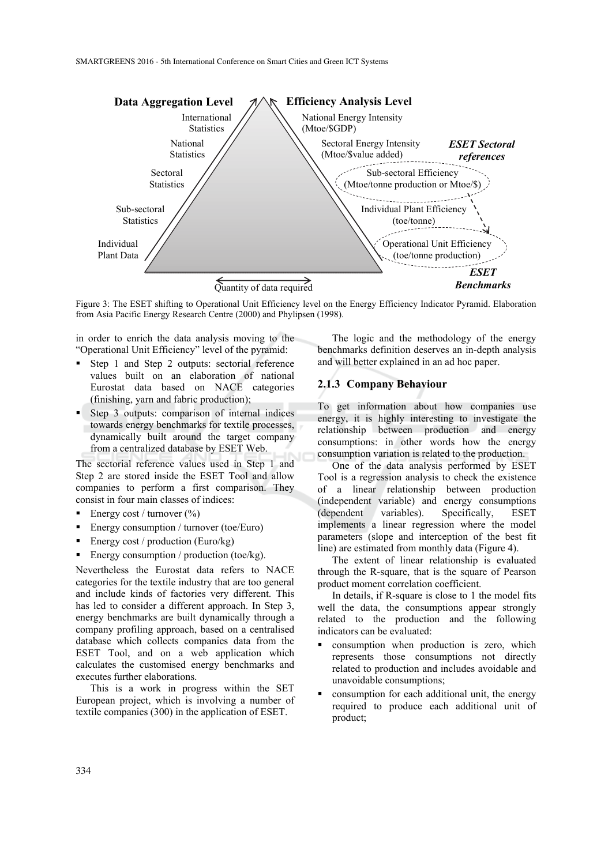

Figure 3: The ESET shifting to Operational Unit Efficiency level on the Energy Efficiency Indicator Pyramid. Elaboration from Asia Pacific Energy Research Centre (2000) and Phylipsen (1998).

in order to enrich the data analysis moving to the "Operational Unit Efficiency" level of the pyramid:

- Step 1 and Step 2 outputs: sectorial reference values built on an elaboration of national Eurostat data based on NACE categories (finishing, yarn and fabric production);
- Step 3 outputs: comparison of internal indices towards energy benchmarks for textile processes, dynamically built around the target company from a centralized database by ESET Web.

The sectorial reference values used in Step 1 and Step 2 are stored inside the ESET Tool and allow companies to perform a first comparison. They consist in four main classes of indices:

- Energy cost / turnover (%)
- Energy consumption / turnover (toe/Euro)
- Energy cost / production (Euro/kg)
- Energy consumption / production (toe/kg).

Nevertheless the Eurostat data refers to NACE categories for the textile industry that are too general and include kinds of factories very different. This has led to consider a different approach. In Step 3, energy benchmarks are built dynamically through a company profiling approach, based on a centralised database which collects companies data from the ESET Tool, and on a web application which calculates the customised energy benchmarks and executes further elaborations.

This is a work in progress within the SET European project, which is involving a number of textile companies (300) in the application of ESET.

The logic and the methodology of the energy benchmarks definition deserves an in-depth analysis and will better explained in an ad hoc paper.

#### **2.1.3 Company Behaviour**

To get information about how companies use energy, it is highly interesting to investigate the relationship between production and energy consumptions: in other words how the energy consumption variation is related to the production.

One of the data analysis performed by ESET Tool is a regression analysis to check the existence of a linear relationship between production (independent variable) and energy consumptions (dependent variables). Specifically, ESET implements a linear regression where the model parameters (slope and interception of the best fit line) are estimated from monthly data (Figure 4).

The extent of linear relationship is evaluated through the R-square, that is the square of Pearson product moment correlation coefficient.

In details, if R-square is close to 1 the model fits well the data, the consumptions appear strongly related to the production and the following indicators can be evaluated:

- consumption when production is zero, which represents those consumptions not directly related to production and includes avoidable and unavoidable consumptions;
- consumption for each additional unit, the energy required to produce each additional unit of product;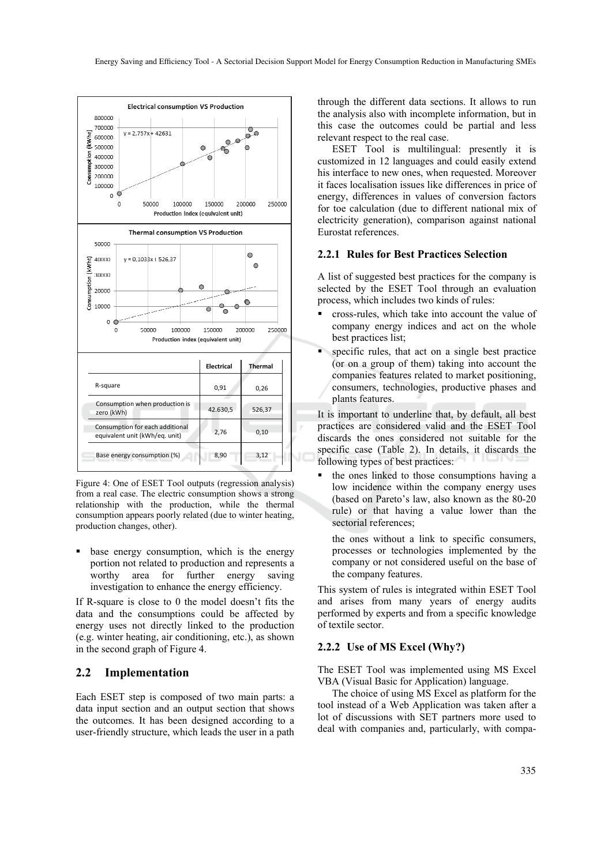

Figure 4: One of ESET Tool outputs (regression analysis) from a real case. The electric consumption shows a strong relationship with the production, while the thermal consumption appears poorly related (due to winter heating, production changes, other).

 base energy consumption, which is the energy portion not related to production and represents a worthy area for further energy saving investigation to enhance the energy efficiency.

If R-square is close to 0 the model doesn't fits the data and the consumptions could be affected by energy uses not directly linked to the production (e.g. winter heating, air conditioning, etc.), as shown in the second graph of Figure 4.

### **2.2 Implementation**

Each ESET step is composed of two main parts: a data input section and an output section that shows the outcomes. It has been designed according to a user-friendly structure, which leads the user in a path

through the different data sections. It allows to run the analysis also with incomplete information, but in this case the outcomes could be partial and less relevant respect to the real case.

ESET Tool is multilingual: presently it is customized in 12 languages and could easily extend his interface to new ones, when requested. Moreover it faces localisation issues like differences in price of energy, differences in values of conversion factors for toe calculation (due to different national mix of electricity generation), comparison against national Eurostat references.

#### **2.2.1 Rules for Best Practices Selection**

A list of suggested best practices for the company is selected by the ESET Tool through an evaluation process, which includes two kinds of rules:

- cross-rules, which take into account the value of company energy indices and act on the whole best practices list;
- specific rules, that act on a single best practice (or on a group of them) taking into account the companies features related to market positioning, consumers, technologies, productive phases and plants features.

It is important to underline that, by default, all best practices are considered valid and the ESET Tool discards the ones considered not suitable for the specific case (Table 2). In details, it discards the following types of best practices:

 the ones linked to those consumptions having a low incidence within the company energy uses (based on Pareto's law, also known as the 80-20 rule) or that having a value lower than the sectorial references;

the ones without a link to specific consumers, processes or technologies implemented by the company or not considered useful on the base of the company features.

This system of rules is integrated within ESET Tool and arises from many years of energy audits performed by experts and from a specific knowledge of textile sector.

#### **2.2.2 Use of MS Excel (Why?)**

The ESET Tool was implemented using MS Excel VBA (Visual Basic for Application) language.

The choice of using MS Excel as platform for the tool instead of a Web Application was taken after a lot of discussions with SET partners more used to deal with companies and, particularly, with compa-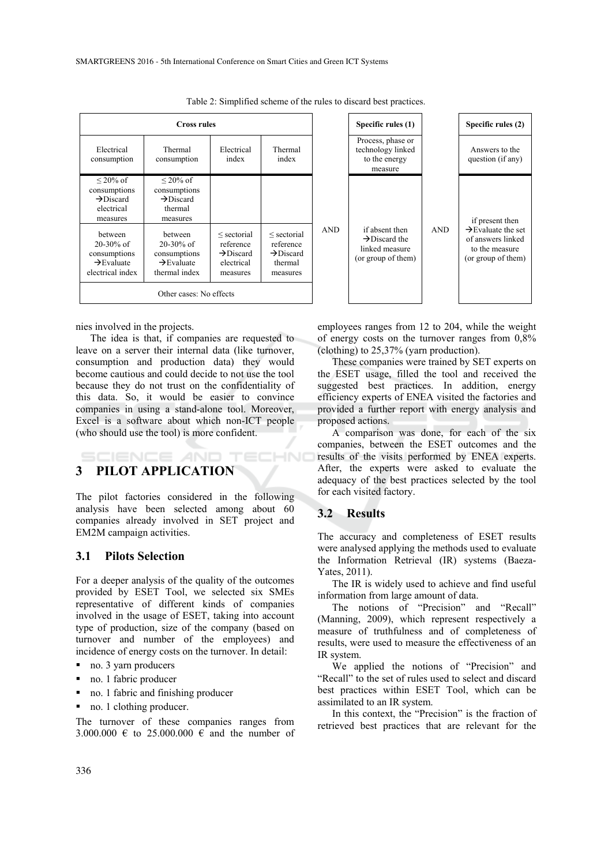| <b>Cross rules</b>                                                                      |                                                                                      |                                                                                 |                                                                              |            | Specific rules (1)                                                                  |            |
|-----------------------------------------------------------------------------------------|--------------------------------------------------------------------------------------|---------------------------------------------------------------------------------|------------------------------------------------------------------------------|------------|-------------------------------------------------------------------------------------|------------|
| Electrical<br>consumption                                                               | Thermal<br>consumption                                                               | Electrical<br>index                                                             | Thermal<br>index                                                             |            | Process, phase or<br>technology linked<br>to the energy<br>measure                  |            |
| $\leq$ 20% of<br>consumptions<br>$\rightarrow$ Discard<br>electrical<br>measures        | $\leq$ 20% of<br>consumptions<br>$\rightarrow$ Discard<br>thermal<br>measures        |                                                                                 |                                                                              |            |                                                                                     |            |
| hetween<br>$20 - 30\%$ of<br>consumptions<br>$\rightarrow$ Evaluate<br>electrical index | between<br>$20 - 30\%$ of<br>consumptions<br>$\rightarrow$ Evaluate<br>thermal index | $\le$ sectorial<br>reference<br>$\rightarrow$ Discard<br>electrical<br>measures | $\le$ sectorial<br>reference<br>$\rightarrow$ Discard<br>thermal<br>measures | <b>AND</b> | if absent then<br>$\rightarrow$ Discard the<br>linked measure<br>(or group of them) | <b>AND</b> |
| Other cases: No effects                                                                 |                                                                                      |                                                                                 |                                                                              |            |                                                                                     |            |

Table 2: Simplified scheme of the rules to discard best practices.

nies involved in the projects.

The idea is that, if companies are requested to leave on a server their internal data (like turnover, consumption and production data) they would become cautious and could decide to not use the tool because they do not trust on the confidentiality of this data. So, it would be easier to convince companies in using a stand-alone tool. Moreover, Excel is a software about which non-ICT people (who should use the tool) is more confident.

# **3 PILOT APPLICATION**

The pilot factories considered in the following analysis have been selected among about 60 companies already involved in SET project and EM2M campaign activities.

**IENCE AND TECHNO** 

#### **3.1 Pilots Selection**

For a deeper analysis of the quality of the outcomes provided by ESET Tool, we selected six SMEs representative of different kinds of companies involved in the usage of ESET, taking into account type of production, size of the company (based on turnover and number of the employees) and incidence of energy costs on the turnover. In detail:

- no. 3 yarn producers
- no. 1 fabric producer
- no. 1 fabric and finishing producer
- no. 1 clothing producer.

The turnover of these companies ranges from 3.000.000  $\in$  to 25.000.000  $\in$  and the number of

linked measure (or group of them) to the measure (or group of them) employees ranges from 12 to 204, while the weight

Specific rules (1) Specific rules (2)

Answers to the question (if any)

if present then  $\rightarrow$ Evaluate the set of answers linked

of energy costs on the turnover ranges from 0,8% (clothing) to 25,37% (yarn production).

These companies were trained by SET experts on the ESET usage, filled the tool and received the suggested best practices. In addition, energy efficiency experts of ENEA visited the factories and provided a further report with energy analysis and proposed actions.

A comparison was done, for each of the six companies, between the ESET outcomes and the results of the visits performed by ENEA experts. After, the experts were asked to evaluate the adequacy of the best practices selected by the tool for each visited factory.

### **3.2 Results**

The accuracy and completeness of ESET results were analysed applying the methods used to evaluate the Information Retrieval (IR) systems (Baeza-Yates, 2011).

The IR is widely used to achieve and find useful information from large amount of data.

The notions of "Precision" and "Recall" (Manning, 2009), which represent respectively a measure of truthfulness and of completeness of results, were used to measure the effectiveness of an IR system.

We applied the notions of "Precision" and "Recall" to the set of rules used to select and discard best practices within ESET Tool, which can be assimilated to an IR system.

In this context, the "Precision" is the fraction of retrieved best practices that are relevant for the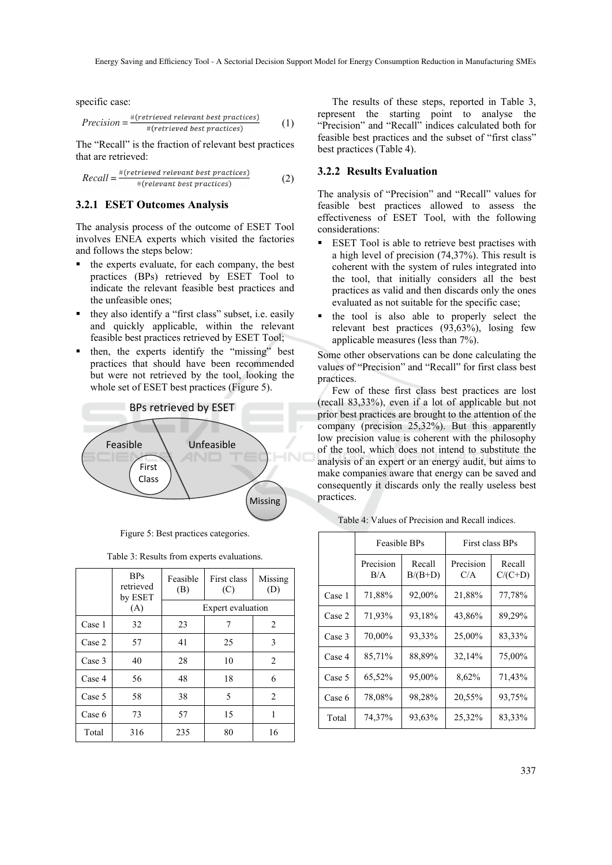specific case:

$$
Precision = \frac{\#(retrieved relevant best practices)}{\#(retrieved best practices)} \tag{1}
$$

The "Recall" is the fraction of relevant best practices that are retrieved:

Recall = 
$$
\frac{\text{#(retrieved relevant best practices)}}{\text{#(relevant best practices)}}
$$
 (2)

#### **3.2.1 ESET Outcomes Analysis**

The analysis process of the outcome of ESET Tool involves ENEA experts which visited the factories and follows the steps below:

- $\blacksquare$  the experts evaluate, for each company, the best practices (BPs) retrieved by ESET Tool to indicate the relevant feasible best practices and the unfeasible ones;
- $\blacksquare$  they also identify a "first class" subset, i.e. easily and quickly applicable, within the relevant feasible best practices retrieved by ESET Tool;
- then, the experts identify the "missing" best practices that should have been recommended but were not retrieved by the tool, looking the whole set of ESET best practices (Figure 5).



Figure 5: Best practices categories.

|        | <b>BPs</b><br>retrieved<br>by ESET | Feasible<br>(B)   | First class<br>(C) | Missing<br>(D) |  |  |
|--------|------------------------------------|-------------------|--------------------|----------------|--|--|
|        | (A)                                | Expert evaluation |                    |                |  |  |
| Case 1 | 32                                 | 23                | 7                  | 2              |  |  |
| Case 2 | 57                                 | 41                | 25                 | 3              |  |  |
| Case 3 | 40                                 | 28                | 10                 | 2              |  |  |
| Case 4 | 56                                 | 48                | 18                 | 6              |  |  |
| Case 5 | 58                                 | 38                | 5                  | 2              |  |  |
| Case 6 | 73                                 | 57                | 15                 |                |  |  |
| Total  | 316                                | 235               | 80                 | 16             |  |  |

The results of these steps, reported in Table 3, represent the starting point to analyse the "Precision" and "Recall" indices calculated both for feasible best practices and the subset of "first class" best practices (Table 4).

#### **3.2.2 Results Evaluation**

The analysis of "Precision" and "Recall" values for feasible best practices allowed to assess the effectiveness of ESET Tool, with the following considerations:

- ESET Tool is able to retrieve best practises with a high level of precision (74,37%). This result is coherent with the system of rules integrated into the tool, that initially considers all the best practices as valid and then discards only the ones evaluated as not suitable for the specific case;
- the tool is also able to properly select the relevant best practices (93,63%), losing few applicable measures (less than 7%).

Some other observations can be done calculating the values of "Precision" and "Recall" for first class best practices.

Few of these first class best practices are lost (recall 83,33%), even if a lot of applicable but not prior best practices are brought to the attention of the company (precision 25,32%). But this apparently low precision value is coherent with the philosophy of the tool, which does not intend to substitute the analysis of an expert or an energy audit, but aims to make companies aware that energy can be saved and consequently it discards only the really useless best practices.

Table 4: Values of Precision and Recall indices.

|        | Feasible BPs     |                     | First class BPs  |                     |  |
|--------|------------------|---------------------|------------------|---------------------|--|
|        | Precision<br>B/A | Recall<br>$B/(B+D)$ | Precision<br>C/A | Recall<br>$C/(C+D)$ |  |
| Case 1 | 71,88%           | 92,00%              | 21,88%           | 77,78%              |  |
| Case 2 | 71,93%           | 93,18%              | 43,86%           | 89,29%              |  |
| Case 3 | 70,00%           | 93,33%              | 25,00%           | 83,33%              |  |
| Case 4 | 85,71%           | 88,89%              | 32,14%           | 75,00%              |  |
| Case 5 | 65,52%           | 95,00%              | 8,62%            | 71,43%              |  |
| Case 6 | 78,08%           | 98,28%              | 20,55%           | 93,75%              |  |
| Total  | 74,37%           | 93,63%              | 25,32%           | 83,33%              |  |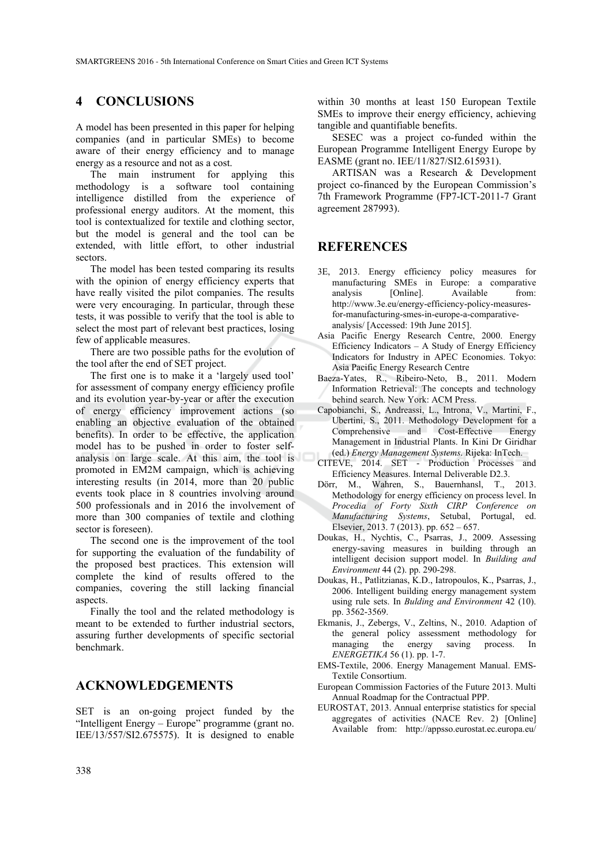# **4 CONCLUSIONS**

A model has been presented in this paper for helping companies (and in particular SMEs) to become aware of their energy efficiency and to manage energy as a resource and not as a cost.

The main instrument for applying this methodology is a software tool containing intelligence distilled from the experience of professional energy auditors. At the moment, this tool is contextualized for textile and clothing sector, but the model is general and the tool can be extended, with little effort, to other industrial sectors.

The model has been tested comparing its results with the opinion of energy efficiency experts that have really visited the pilot companies. The results were very encouraging. In particular, through these tests, it was possible to verify that the tool is able to select the most part of relevant best practices, losing few of applicable measures.

There are two possible paths for the evolution of the tool after the end of SET project.

The first one is to make it a 'largely used tool' for assessment of company energy efficiency profile and its evolution year-by-year or after the execution of energy efficiency improvement actions (so enabling an objective evaluation of the obtained benefits). In order to be effective, the application model has to be pushed in order to foster selfanalysis on large scale. At this aim, the tool is promoted in EM2M campaign, which is achieving interesting results (in 2014, more than 20 public events took place in 8 countries involving around 500 professionals and in 2016 the involvement of more than 300 companies of textile and clothing sector is foreseen).

The second one is the improvement of the tool for supporting the evaluation of the fundability of the proposed best practices. This extension will complete the kind of results offered to the companies, covering the still lacking financial aspects.

Finally the tool and the related methodology is meant to be extended to further industrial sectors, assuring further developments of specific sectorial benchmark.

### **ACKNOWLEDGEMENTS**

SET is an on-going project funded by the "Intelligent Energy – Europe" programme (grant no. IEE/13/557/SI2.675575). It is designed to enable

within 30 months at least 150 European Textile SMEs to improve their energy efficiency, achieving tangible and quantifiable benefits.

SESEC was a project co-funded within the European Programme Intelligent Energy Europe by EASME (grant no. IEE/11/827/SI2.615931).

ARTISAN was a Research & Development project co-financed by the European Commission's 7th Framework Programme (FP7-ICT-2011-7 Grant agreement 287993).

### **REFERENCES**

- 3E, 2013. Energy efficiency policy measures for manufacturing SMEs in Europe: a comparative analysis [Online]. Available from: http://www.3e.eu/energy-efficiency-policy-measuresfor-manufacturing-smes-in-europe-a-comparativeanalysis/ [Accessed: 19th June 2015].
- Asia Pacific Energy Research Centre, 2000. Energy Efficiency Indicators – A Study of Energy Efficiency Indicators for Industry in APEC Economies. Tokyo: Asia Pacific Energy Research Centre
- Baeza-Yates, R., Ribeiro-Neto, B., 2011. Modern Information Retrieval: The concepts and technology behind search. New York: ACM Press.
- Capobianchi, S., Andreassi, L., Introna, V., Martini, F., Ubertini, S., 2011. Methodology Development for a Comprehensive and Cost-Effective Energy Management in Industrial Plants. In Kini Dr Giridhar (ed.) *Energy Management Systems*. Rijeka: InTech.
- CITEVE, 2014. SET Production Processes and Efficiency Measures. Internal Deliverable D2.3.
- Dörr, M., Wahren, S., Bauernhansl, T., 2013. Methodology for energy efficiency on process level. In *Procedia of Forty Sixth CIRP Conference on Manufacturing Systems*, Setubal, Portugal, ed. Elsevier, 2013. 7 (2013). pp. 652 – 657.
- Doukas, H., Nychtis, C., Psarras, J., 2009. Assessing energy-saving measures in building through an intelligent decision support model. In *Building and Environment* 44 (2). pp. 290-298.
- Doukas, H., Patlitzianas, K.D., Iatropoulos, K., Psarras, J., 2006. Intelligent building energy management system using rule sets. In *Bulding and Environment* 42 (10). pp. 3562-3569.
- Ekmanis, J., Zebergs, V., Zeltins, N., 2010. Adaption of the general policy assessment methodology for managing the energy saving process. In *ENERGETIKA* 56 (1). pp. 1-7.
- EMS-Textile, 2006. Energy Management Manual. EMS-Textile Consortium.
- European Commission Factories of the Future 2013. Multi Annual Roadmap for the Contractual PPP.
- EUROSTAT, 2013. Annual enterprise statistics for special aggregates of activities (NACE Rev. 2) [Online] Available from: http://appsso.eurostat.ec.europa.eu/